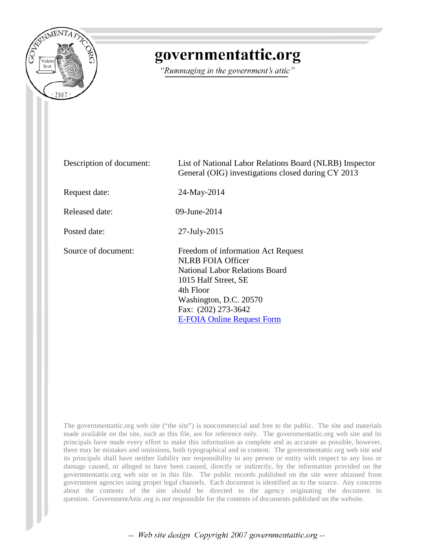

## governmentattic.org

"Rummaging in the government's attic"

| Description of document: | List of National Labor Relations Board (NLRB) Inspector<br>General (OIG) investigations closed during CY 2013                                                                                                                      |  |  |
|--------------------------|------------------------------------------------------------------------------------------------------------------------------------------------------------------------------------------------------------------------------------|--|--|
| Request date:            | 24-May-2014                                                                                                                                                                                                                        |  |  |
| Released date:           | 09-June-2014                                                                                                                                                                                                                       |  |  |
| Posted date:             | $27$ -July- $2015$                                                                                                                                                                                                                 |  |  |
| Source of document:      | Freedom of information Act Request<br><b>NLRB FOIA Officer</b><br><b>National Labor Relations Board</b><br>1015 Half Street, SE<br>4th Floor<br>Washington, D.C. 20570<br>Fax: (202) 273-3642<br><b>E-FOIA Online Request Form</b> |  |  |

The governmentattic.org web site ("the site") is noncommercial and free to the public. The site and materials made available on the site, such as this file, are for reference only. The governmentattic.org web site and its principals have made every effort to make this information as complete and as accurate as possible, however, there may be mistakes and omissions, both typographical and in content. The governmentattic.org web site and its principals shall have neither liability nor responsibility to any person or entity with respect to any loss or damage caused, or alleged to have been caused, directly or indirectly, by the information provided on the governmentattic.org web site or in this file. The public records published on the site were obtained from government agencies using proper legal channels. Each document is identified as to the source. Any concerns about the contents of the site should be directed to the agency originating the document in question. GovernmentAttic.org is not responsible for the contents of documents published on the website.

-- Web site design Copyright 2007 governmentattic.org --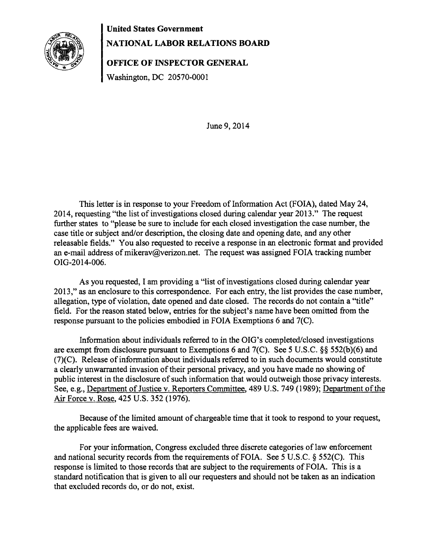## **United States Government**



## **NATIONAL LABOR RELATIONS BOARD**

**OFFICE OF INSPECTOR GENERAL** 

Washington, DC 20570-0001

June 9, 2014

This letter is in response to your Freedom of Information Act (FOIA), dated May 24, 2014, requesting "the list of investigations closed during calendar year 2013." The request further states to "please be sure to include for each closed investigation the case number, the case title or subject and/or description, the closing date and opening date, and any other releasable fields." You also requested to receive a response in an electronic format and provided an e-mail address of mikerav@verizon.net. The request was assigned FOIA tracking number OIG-2014-006.

As you requested, I am providing a "list of investigations closed during calendar year 2013," as an enclosure to this correspondence. For each entry, the list provides the case number, allegation, type of violation, date opened and date closed. The records do not contain a "title" field. For the reason stated below, entries for the subject's name have been omitted from the response pursuant to the policies embodied in FOIA Exemptions 6 and 7(C).

Information about individuals referred to in the OIG's completed/closed investigations are exempt from disclosure pursuant to Exemptions 6 and 7(C). See 5 U.S.C. §§ 552(b)(6) and (7)(C). Release of information about individuals referred to in such documents would constitute a clearly unwarranted invasion of their personal privacy, and you have made no showing of public interest in the disclosure of such information that would outweigh those privacy interests. See, e.g., Department of Justice v. Reporters Committee, 489 U.S. 749 (1989); Department of the Air Force v. Rose, 425 U.S. 352 (1976).

Because of the limited amount of chargeable time that it took to respond to your request, the applicable fees are waived.

For your information, Congress excluded three discrete categories of law enforcement and national security records from the requirements of FOIA. See 5 U.S.C. § 552(C). This response is limited to those records that are subject to the requirements of FOIA. This is a standard notification that is given to all our requesters and should not be taken as an indication that excluded records do, or do not, exist.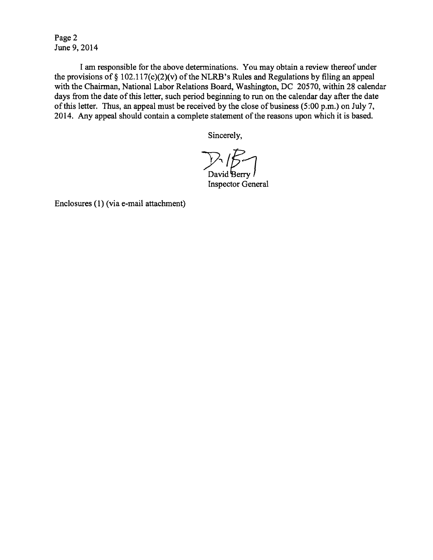Page 2 June 9, 2014

I am responsible for the above determinations. You may obtain a review thereof under the provisions of  $\S 102.117(c)(2)(v)$  of the NLRB's Rules and Regulations by filing an appeal with the Chairman, National Labor Relations Board, Washington, DC 20570, within 28 calendar days from the date of this letter, such period beginning to run on the calendar day after the date of this letter. Thus, an appeal must be received by the close of business (5:00 p.m.) on July 7, 2014. Any appeal should contain a complete statement of the reasons upon which it is based.

Sincerely,

David  ${\rm Berry}$ Inspector General

Enclosures (1) (via e-mail attachment)